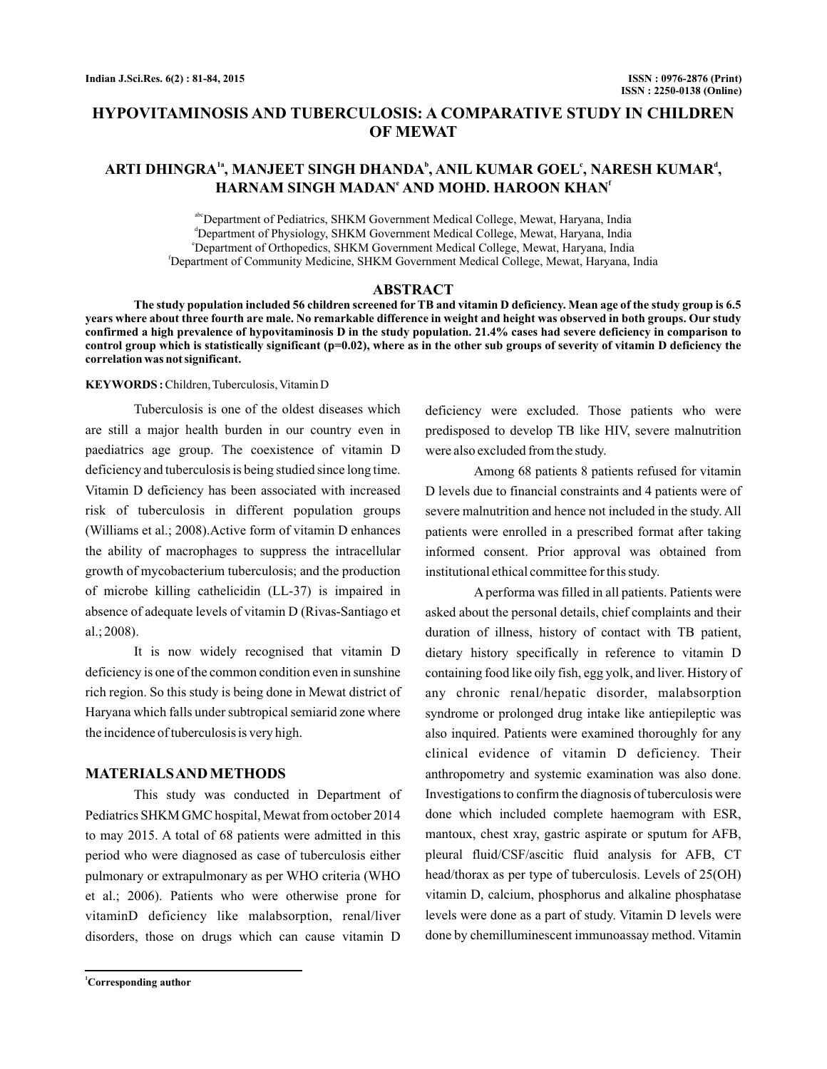# **HYPOVITAMINOSIS AND TUBERCULOSIS: A COMPARATIVE STUDY IN CHILDREN OF MEWAT**

# $\mathbf{A}\mathbf{R}\mathbf{T}\mathbf{I}}$   $\mathbf{D}\mathbf{H}\mathbf{N}\mathbf{G}\mathbf{R}\mathbf{A}^{1}$ ,  $\mathbf{M}\mathbf{A}\mathbf{N}\mathbf{J}\mathbf{E}\mathbf{E}\mathbf{T}\mathbf{S}\mathbf{I}\mathbf{N}\mathbf{G}\mathbf{H}\mathbf{D}\mathbf{H}\mathbf{A}\mathbf{N}\mathbf{D}\mathbf{A}^{b}, \mathbf{A}\mathbf{N}\mathbf{I}\mathbf{L}\mathbf{K}\mathbf{U}\mathbf{M}\mathbf{A}\mathbf{R}\mathbf{C}\mathbf{O}\mathbf{E}\mathbf{L}^{$  $H$ ARNAM SINGH MADAN<sup>e</sup> AND MOHD. HAROON KHAN<sup>t</sup>

abc Department of Pediatrics, SHKM Government Medical College, Mewat, Haryana, India d Department of Physiology, SHKM Government Medical College, Mewat, Haryana, India e Department of Orthopedics, SHKM Government Medical College, Mewat, Haryana, India f Department of Community Medicine, SHKM Government Medical College, Mewat, Haryana, India

#### **ABSTRACT**

**The study population included 56 children screened for TB and vitamin D deficiency. Mean age of the study group is 6.5 years where about three fourth are male. No remarkable difference in weight and height was observed in both groups. Our study confirmed a high prevalence of hypovitaminosis D in the study population. 21.4% cases had severe deficiency in comparison to control group which is statistically significant (p=0.02), where as in the other sub groups of severity of vitamin D deficiency the correlation was not significant.**

#### **KEYWORDS :** Children, Tuberculosis, Vitamin D

Tuberculosis is one of the oldest diseases which are still a major health burden in our country even in paediatrics age group. The coexistence of vitamin D deficiency and tuberculosis is being studied since long time. Vitamin D deficiency has been associated with increased risk of tuberculosis in different population groups (Williams et al.; 2008).Active form of vitamin D enhances the ability of macrophages to suppress the intracellular growth of mycobacterium tuberculosis; and the production of microbe killing cathelicidin (LL-37) is impaired in absence of adequate levels of vitamin D (Rivas-Santiago et al.; 2008).

It is now widely recognised that vitamin D deficiency is one of the common condition even in sunshine rich region. So this study is being done in Mewat district of Haryana which falls under subtropical semiarid zone where the incidence of tuberculosis is very high.

### **MATERIALSAND METHODS**

This study was conducted in Department of Pediatrics SHKM GMC hospital, Mewat from october 2014 to may 2015. A total of 68 patients were admitted in this period who were diagnosed as case of tuberculosis either pulmonary or extrapulmonary as per WHO criteria (WHO et al.; 2006). Patients who were otherwise prone for vitaminD deficiency like malabsorption, renal/liver disorders, those on drugs which can cause vitamin D

deficiency were excluded. Those patients who were predisposed to develop TB like HIV, severe malnutrition were also excluded from the study.

Among 68 patients 8 patients refused for vitamin D levels due to financial constraints and 4 patients were of severe malnutrition and hence not included in the study. All patients were enrolled in a prescribed format after taking informed consent. Prior approval was obtained from institutional ethical committee for this study.

A performa was filled in all patients. Patients were asked about the personal details, chief complaints and their duration of illness, history of contact with TB patient, dietary history specifically in reference to vitamin D containing food like oily fish, egg yolk, and liver. History of any chronic renal/hepatic disorder, malabsorption syndrome or prolonged drug intake like antiepileptic was also inquired. Patients were examined thoroughly for any clinical evidence of vitamin D deficiency. Their anthropometry and systemic examination was also done. Investigations to confirm the diagnosis of tuberculosis were done which included complete haemogram with ESR, mantoux, chest xray, gastric aspirate or sputum for AFB, pleural fluid/CSF/ascitic fluid analysis for AFB, CT head/thorax as per type of tuberculosis. Levels of 25(OH) vitamin D, calcium, phosphorus and alkaline phosphatase levels were done as a part of study. Vitamin D levels were done by chemilluminescent immunoassay method. Vitamin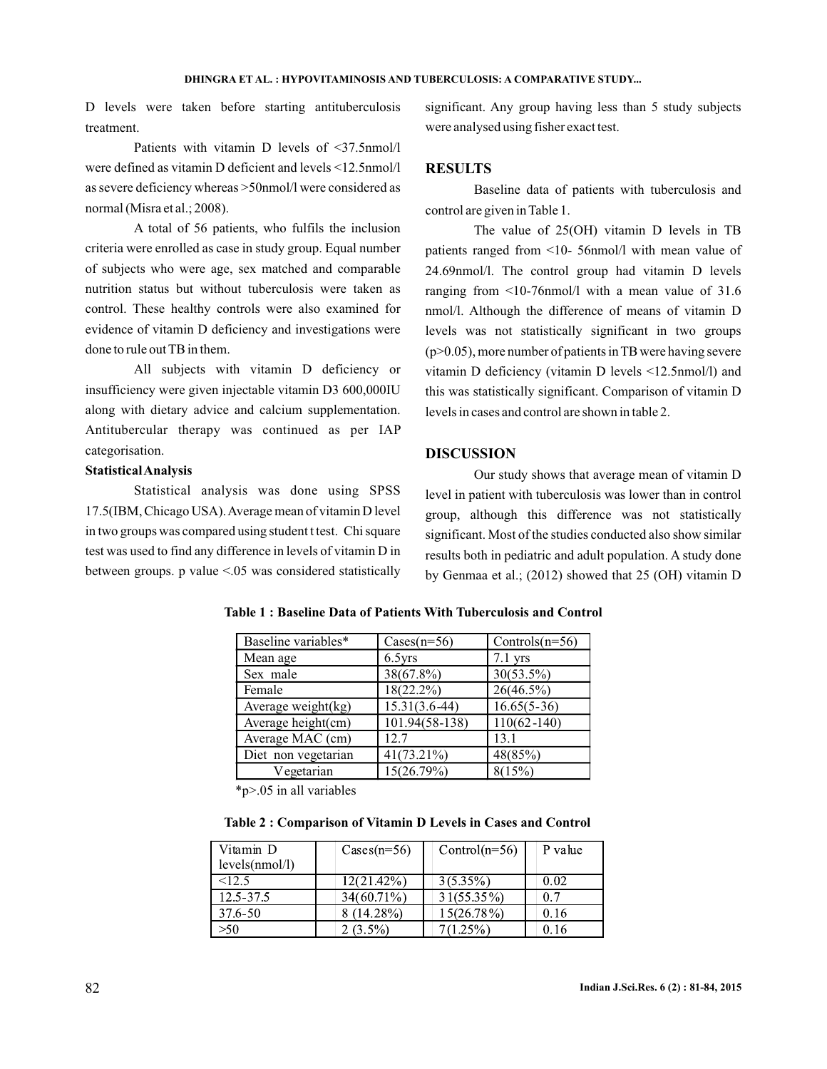D levels were taken before starting antituberculosis treatment.

Patients with vitamin D levels of <37.5nmol/l were defined as vitamin D deficient and levels <12.5nmol/l as severe deficiency whereas >50nmol/l were considered as normal (Misra et al.; 2008).

A total of 56 patients, who fulfils the inclusion criteria were enrolled as case in study group. Equal number of subjects who were age, sex matched and comparable nutrition status but without tuberculosis were taken as control. These healthy controls were also examined for evidence of vitamin D deficiency and investigations were done to rule out TB in them.

All subjects with vitamin D deficiency or insufficiency were given injectable vitamin D3 600,000IU along with dietary advice and calcium supplementation. Antitubercular therapy was continued as per IAP categorisation.

#### **StatisticalAnalysis**

Statistical analysis was done using SPSS 17.5(IBM, Chicago USA).Average mean of vitamin D level in two groups was compared using student t test. Chi square test was used to find any difference in levels of vitamin D in between groups. p value <.05 was considered statistically

significant. Any group having less than 5 study subjects were analysed using fisher exact test.

#### **RESULTS**

Baseline data of patients with tuberculosis and control are given in Table 1.

The value of 25(OH) vitamin D levels in TB patients ranged from <10- 56nmol/l with mean value of 24.69nmol/l. The control group had vitamin D levels ranging from <10-76nmol/l with a mean value of 31.6 nmol/l. Although the difference of means of vitamin D levels was not statistically significant in two groups  $(p>0.05)$ , more number of patients in TB were having severe vitamin D deficiency (vitamin D levels <12.5nmol/l) and this was statistically significant. Comparison of vitamin D levels in cases and control are shown in table 2.

# **DISCUSSION**

Our study shows that average mean of vitamin D level in patient with tuberculosis was lower than in control group, although this difference was not statistically significant. Most of the studies conducted also show similar results both in pediatric and adult population. A study done by Genmaa et al.; (2012) showed that 25 (OH) vitamin D

| Baseline variables* | $\text{Cases}(n=56)$ | Controls $(n=56)$ |
|---------------------|----------------------|-------------------|
| Mean age            | $6.5$ vrs            | $7.1$ yrs         |
| Sex male            | 38(67.8%)            | $30(53.5\%)$      |
| Female              | $18(22.2\%)$         | 26(46.5%)         |
| Average weight(kg)  | $15.31(3.6-44)$      | $16.65(5-36)$     |
| Average height(cm)  | 101.94(58-138)       | $110(62 - 140)$   |
| Average MAC (cm)    | 12.7                 | 13.1              |
| Diet non vegetarian | $41(73.21\%)$        | 48(85%)           |
| Vegetarian          | 15(26.79%)           | 8(15%)            |

#### **Table 1 : Baseline Data of Patients With Tuberculosis and Control**

\*p>.05 in all variables

**Table 2 : Comparison of Vitamin D Levels in Cases and Control**

| Vitamin D      | $\text{Cases}(n=56)$ | $Control(n=56)$ | P value |
|----------------|----------------------|-----------------|---------|
| levels(mnol/l) |                      |                 |         |
| < 12.5         | 12(21.42%)           | $3(5.35\%)$     | 0.02    |
| $12.5 - 37.5$  | $34(60.71\%)$        | $31(55.35\%)$   | 0.7     |
| 37.6-50        | $(14.28\%)$          | $15(26.78\%)$   | 0.16    |
| >50            | $2(3.5\%)$           | $(1.25\%)$      | 0.16    |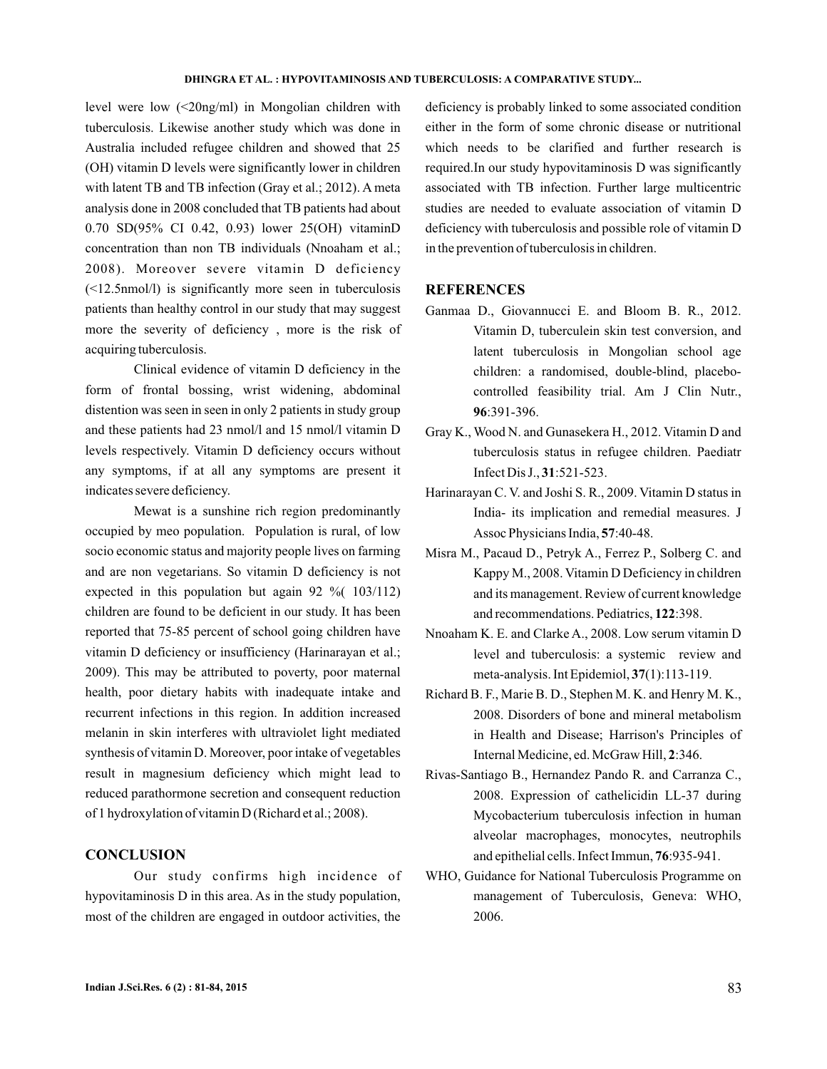level were low (<20ng/ml) in Mongolian children with tuberculosis. Likewise another study which was done in Australia included refugee children and showed that 25 (OH) vitamin D levels were significantly lower in children with latent TB and TB infection (Gray et al.; 2012). A meta analysis done in 2008 concluded that TB patients had about 0.70 SD(95% CI 0.42, 0.93) lower 25(OH) vitaminD concentration than non TB individuals (Nnoaham et al.; 2008). Moreover severe vitamin D deficiency (<12.5nmol/l) is significantly more seen in tuberculosis patients than healthy control in our study that may suggest more the severity of deficiency , more is the risk of acquiring tuberculosis.

Clinical evidence of vitamin D deficiency in the form of frontal bossing, wrist widening, abdominal distention was seen in seen in only 2 patients in study group and these patients had 23 nmol/l and 15 nmol/l vitamin D levels respectively. Vitamin D deficiency occurs without any symptoms, if at all any symptoms are present it indicates severe deficiency.

Mewat is a sunshine rich region predominantly occupied by meo population. Population is rural, of low socio economic status and majority people lives on farming and are non vegetarians. So vitamin D deficiency is not expected in this population but again 92 %( 103/112) children are found to be deficient in our study. It has been reported that 75-85 percent of school going children have vitamin D deficiency or insufficiency (Harinarayan et al.; 2009). This may be attributed to poverty, poor maternal health, poor dietary habits with inadequate intake and recurrent infections in this region. In addition increased melanin in skin interferes with ultraviolet light mediated synthesis of vitamin D. Moreover, poor intake of vegetables result in magnesium deficiency which might lead to reduced parathormone secretion and consequent reduction of 1 hydroxylation of vitamin D (Richard et al.; 2008).

### **CONCLUSION**

Our study confirms high incidence of hypovitaminosis D in this area. As in the study population, most of the children are engaged in outdoor activities, the

deficiency is probably linked to some associated condition either in the form of some chronic disease or nutritional which needs to be clarified and further research is required.In our study hypovitaminosis D was significantly associated with TB infection. Further large multicentric studies are needed to evaluate association of vitamin D deficiency with tuberculosis and possible role of vitamin D in the prevention of tuberculosis in children.

## **REFERENCES**

- Ganmaa D., Giovannucci E. and Bloom B. R., 2012. Vitamin D, tuberculein skin test conversion, and latent tuberculosis in Mongolian school age children: a randomised, double-blind, placebocontrolled feasibility trial. Am J Clin Nutr., :391-396. **96**
- Gray K., Wood N. and Gunasekera H., 2012. Vitamin D and tuberculosis status in refugee children. Paediatr Infect Dis J., 31:521-523.
- Harinarayan C. V. and Joshi S. R., 2009. Vitamin D status in India- its implication and remedial measures. J Assoc Physicians India, 57:40-48.
- Misra M., Pacaud D., Petryk A., Ferrez P., Solberg C. and Kappy M., 2008. Vitamin D Deficiency in children and its management. Review of current knowledge and recommendations. Pediatrics, 122:398.
- Nnoaham K. E. and Clarke A., 2008. Low serum vitamin D level and tuberculosis: a systemic review and meta-analysis. Int Epidemiol, 37(1):113-119.
- Richard B. F., Marie B. D., Stephen M. K. and Henry M. K., 2008. Disorders of bone and mineral metabolism in Health and Disease; Harrison's Principles of Internal Medicine, ed. McGraw Hill, 2:346.
- Rivas-Santiago B., Hernandez Pando R. and Carranza C., 2008. Expression of cathelicidin LL-37 during Mycobacterium tuberculosis infection in human alveolar macrophages, monocytes, neutrophils and epithelial cells. Infect Immun, 76:935-941.
- WHO, Guidance for National Tuberculosis Programme on management of Tuberculosis, Geneva: WHO, 2006.